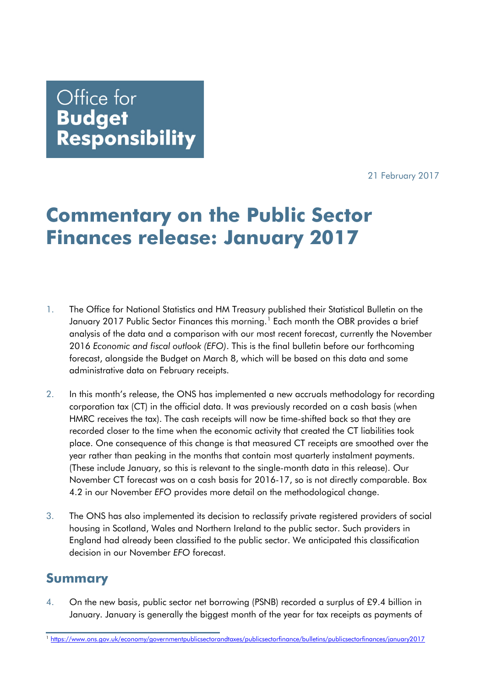21 February 2017

## Office for **Budget** Responsibility

# **Commentary on the Public Sector Finances release: January 2017**

- 1. The Office for National Statistics and HM Treasury published their Statistical Bulletin on the January 20[1](#page-0-0)7 Public Sector Finances this morning.<sup>1</sup> Each month the OBR provides a brief analysis of the data and a comparison with our most recent forecast, currently the November 2016 *Economic and fiscal outlook (EFO)*. This is the final bulletin before our forthcoming forecast, alongside the Budget on March 8, which will be based on this data and some administrative data on February receipts.
- 2. In this month's release, the ONS has implemented a new accruals methodology for recording corporation tax (CT) in the official data. It was previously recorded on a cash basis (when HMRC receives the tax). The cash receipts will now be time-shifted back so that they are recorded closer to the time when the economic activity that created the CT liabilities took place. One consequence of this change is that measured CT receipts are smoothed over the year rather than peaking in the months that contain most quarterly instalment payments. (These include January, so this is relevant to the single-month data in this release). Our November CT forecast was on a cash basis for 2016-17, so is not directly comparable. Box 4.2 in our November *EFO* provides more detail on the methodological change.
- 3. The ONS has also implemented its decision to reclassify private registered providers of social housing in Scotland, Wales and Northern Ireland to the public sector. Such providers in England had already been classified to the public sector. We anticipated this classification decision in our November *EFO* forecast.

### **Summary**

4. On the new basis, public sector net borrowing (PSNB) recorded a surplus of £9.4 billion in January. January is generally the biggest month of the year for tax receipts as payments of

<span id="page-0-0"></span><sup>1</sup> <https://www.ons.gov.uk/economy/governmentpublicsectorandtaxes/publicsectorfinance/bulletins/publicsectorfinances/january2017>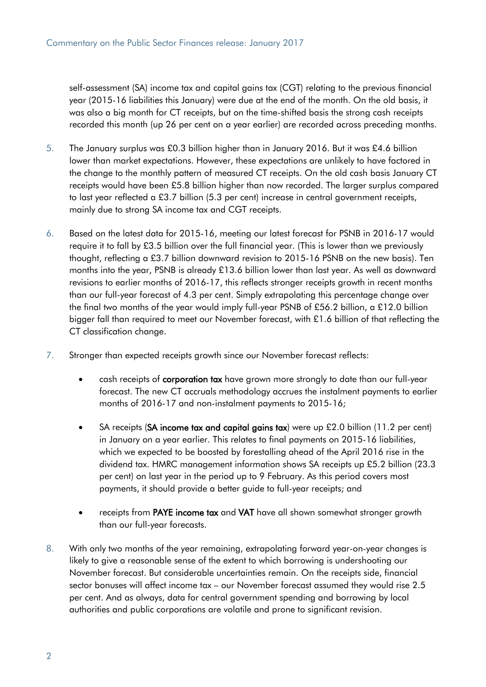self-assessment (SA) income tax and capital gains tax (CGT) relating to the previous financial year (2015-16 liabilities this January) were due at the end of the month. On the old basis, it was also a big month for CT receipts, but on the time-shifted basis the strong cash receipts recorded this month (up 26 per cent on a year earlier) are recorded across preceding months.

- 5. The January surplus was £0.3 billion higher than in January 2016. But it was £4.6 billion lower than market expectations. However, these expectations are unlikely to have factored in the change to the monthly pattern of measured CT receipts. On the old cash basis January CT receipts would have been £5.8 billion higher than now recorded. The larger surplus compared to last year reflected a £3.7 billion (5.3 per cent) increase in central government receipts, mainly due to strong SA income tax and CGT receipts.
- 6. Based on the latest data for 2015-16, meeting our latest forecast for PSNB in 2016-17 would require it to fall by £3.5 billion over the full financial year. (This is lower than we previously thought, reflecting a £3.7 billion downward revision to 2015-16 PSNB on the new basis). Ten months into the year, PSNB is already £13.6 billion lower than last year. As well as downward revisions to earlier months of 2016-17, this reflects stronger receipts growth in recent months than our full-year forecast of 4.3 per cent. Simply extrapolating this percentage change over the final two months of the year would imply full-year PSNB of £56.2 billion, a £12.0 billion bigger fall than required to meet our November forecast, with £1.6 billion of that reflecting the CT classification change.
- 7. Stronger than expected receipts growth since our November forecast reflects:
	- cash receipts of corporation tax have grown more strongly to date than our full-year forecast. The new CT accruals methodology accrues the instalment payments to earlier months of 2016-17 and non-instalment payments to 2015-16;
	- SA receipts (SA income tax and capital gains tax) were up £2.0 billion (11.2 per cent) in January on a year earlier. This relates to final payments on 2015-16 liabilities, which we expected to be boosted by forestalling ahead of the April 2016 rise in the dividend tax. HMRC management information shows SA receipts up £5.2 billion (23.3 per cent) on last year in the period up to 9 February. As this period covers most payments, it should provide a better guide to full-year receipts; and
	- receipts from PAYE income tax and VAT have all shown somewhat stronger growth than our full-year forecasts.
- 8. With only two months of the year remaining, extrapolating forward year-on-year changes is likely to give a reasonable sense of the extent to which borrowing is undershooting our November forecast. But considerable uncertainties remain. On the receipts side, financial sector bonuses will affect income tax – our November forecast assumed they would rise 2.5 per cent. And as always, data for central government spending and borrowing by local authorities and public corporations are volatile and prone to significant revision.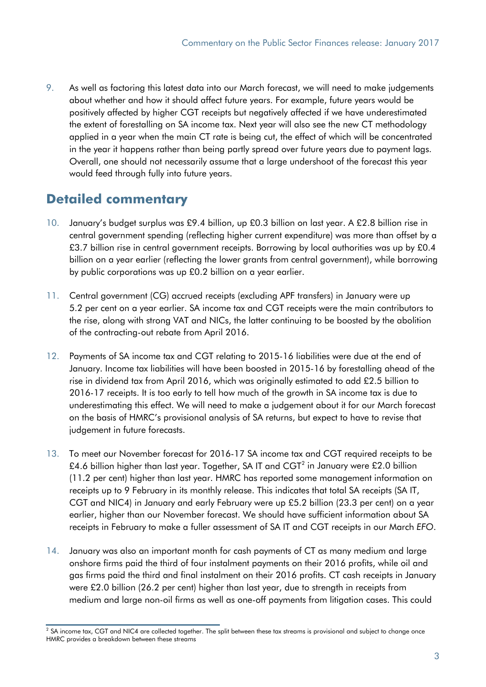9. As well as factoring this latest data into our March forecast, we will need to make judgements about whether and how it should affect future years. For example, future years would be positively affected by higher CGT receipts but negatively affected if we have underestimated the extent of forestalling on SA income tax. Next year will also see the new CT methodology applied in a year when the main CT rate is being cut, the effect of which will be concentrated in the year it happens rather than being partly spread over future years due to payment lags. Overall, one should not necessarily assume that a large undershoot of the forecast this year would feed through fully into future years.

## **Detailed commentary**

- 10. January's budget surplus was £9.4 billion, up £0.3 billion on last year. A £2.8 billion rise in central government spending (reflecting higher current expenditure) was more than offset by a £3.7 billion rise in central government receipts. Borrowing by local authorities was up by £0.4 billion on a year earlier (reflecting the lower grants from central government), while borrowing by public corporations was up £0.2 billion on a year earlier.
- 11. Central government (CG) accrued receipts (excluding APF transfers) in January were up 5.2 per cent on a year earlier. SA income tax and CGT receipts were the main contributors to the rise, along with strong VAT and NICs, the latter continuing to be boosted by the abolition of the contracting-out rebate from April 2016.
- 12. Payments of SA income tax and CGT relating to 2015-16 liabilities were due at the end of January. Income tax liabilities will have been boosted in 2015-16 by forestalling ahead of the rise in dividend tax from April 2016, which was originally estimated to add £2.5 billion to 2016-17 receipts. It is too early to tell how much of the growth in SA income tax is due to underestimating this effect. We will need to make a judgement about it for our March forecast on the basis of HMRC's provisional analysis of SA returns, but expect to have to revise that judgement in future forecasts.
- 13. To meet our November forecast for 2016-17 SA income tax and CGT required receipts to be £4.6 billion higher than last year. Together, SA IT and CGT<sup>[2](#page-2-0)</sup> in January were £2.0 billion (11.2 per cent) higher than last year. HMRC has reported some management information on receipts up to 9 February in its monthly release. This indicates that total SA receipts (SA IT, CGT and NIC4) in January and early February were up £5.2 billion (23.3 per cent) on a year earlier, higher than our November forecast. We should have sufficient information about SA receipts in February to make a fuller assessment of SA IT and CGT receipts in our March *EFO*.
- 14. January was also an important month for cash payments of CT as many medium and large onshore firms paid the third of four instalment payments on their 2016 profits, while oil and gas firms paid the third and final instalment on their 2016 profits. CT cash receipts in January were £2.0 billion (26.2 per cent) higher than last year, due to strength in receipts from medium and large non-oil firms as well as one-off payments from litigation cases. This could

<span id="page-2-0"></span> $2$  SA income tax, CGT and NIC4 are collected together. The split between these tax streams is provisional and subject to change once HMRC provides a breakdown between these streams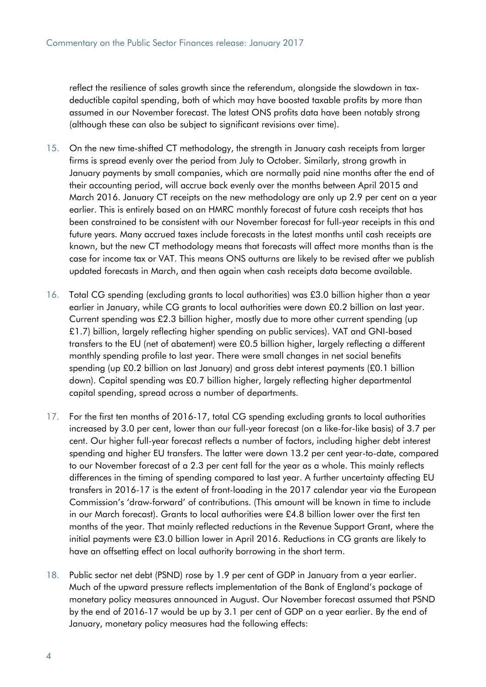reflect the resilience of sales growth since the referendum, alongside the slowdown in taxdeductible capital spending, both of which may have boosted taxable profits by more than assumed in our November forecast. The latest ONS profits data have been notably strong (although these can also be subject to significant revisions over time).

- 15. On the new time-shifted CT methodology, the strength in January cash receipts from larger firms is spread evenly over the period from July to October. Similarly, strong growth in January payments by small companies, which are normally paid nine months after the end of their accounting period, will accrue back evenly over the months between April 2015 and March 2016. January CT receipts on the new methodology are only up 2.9 per cent on a year earlier. This is entirely based on an HMRC monthly forecast of future cash receipts that has been constrained to be consistent with our November forecast for full-year receipts in this and future years. Many accrued taxes include forecasts in the latest months until cash receipts are known, but the new CT methodology means that forecasts will affect more months than is the case for income tax or VAT. This means ONS outturns are likely to be revised after we publish updated forecasts in March, and then again when cash receipts data become available.
- 16. Total CG spending (excluding grants to local authorities) was £3.0 billion higher than a year earlier in January, while CG grants to local authorities were down £0.2 billion on last year. Current spending was £2.3 billion higher, mostly due to more other current spending (up £1.7) billion, largely reflecting higher spending on public services). VAT and GNI-based transfers to the EU (net of abatement) were £0.5 billion higher, largely reflecting a different monthly spending profile to last year. There were small changes in net social benefits spending (up £0.2 billion on last January) and gross debt interest payments (£0.1 billion down). Capital spending was £0.7 billion higher, largely reflecting higher departmental capital spending, spread across a number of departments.
- 17. For the first ten months of 2016-17, total CG spending excluding grants to local authorities increased by 3.0 per cent, lower than our full-year forecast (on a like-for-like basis) of 3.7 per cent. Our higher full-year forecast reflects a number of factors, including higher debt interest spending and higher EU transfers. The latter were down 13.2 per cent year-to-date, compared to our November forecast of a 2.3 per cent fall for the year as a whole. This mainly reflects differences in the timing of spending compared to last year. A further uncertainty affecting EU transfers in 2016-17 is the extent of front-loading in the 2017 calendar year via the European Commission's 'draw-forward' of contributions. (This amount will be known in time to include in our March forecast). Grants to local authorities were £4.8 billion lower over the first ten months of the year. That mainly reflected reductions in the Revenue Support Grant, where the initial payments were £3.0 billion lower in April 2016. Reductions in CG grants are likely to have an offsetting effect on local authority borrowing in the short term.
- 18. Public sector net debt (PSND) rose by 1.9 per cent of GDP in January from a year earlier. Much of the upward pressure reflects implementation of the Bank of England's package of monetary policy measures announced in August. Our November forecast assumed that PSND by the end of 2016-17 would be up by 3.1 per cent of GDP on a year earlier. By the end of January, monetary policy measures had the following effects: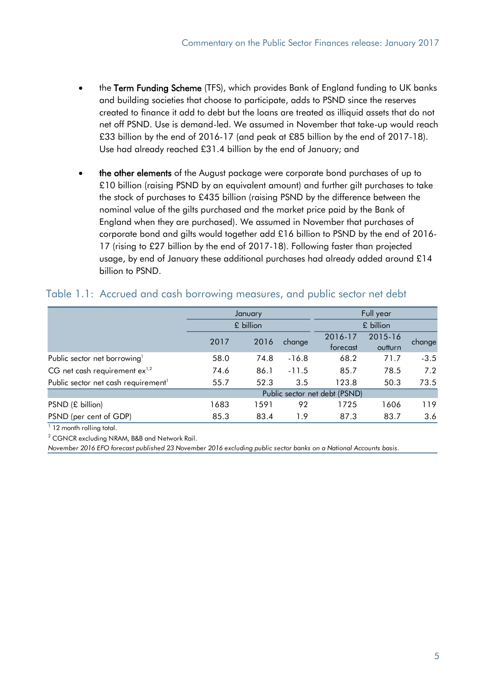- the Term Funding Scheme (TFS), which provides Bank of England funding to UK banks and building societies that choose to participate, adds to PSND since the reserves created to finance it add to debt but the loans are treated as illiquid assets that do not net off PSND. Use is demand-led. We assumed in November that take-up would reach £33 billion by the end of 2016-17 (and peak at £85 billion by the end of 2017-18). Use had already reached £31.4 billion by the end of January; and
- the other elements of the August package were corporate bond purchases of up to £10 billion (raising PSND by an equivalent amount) and further gilt purchases to take the stock of purchases to £435 billion (raising PSND by the difference between the nominal value of the gilts purchased and the market price paid by the Bank of England when they are purchased). We assumed in November that purchases of corporate bond and gilts would together add £16 billion to PSND by the end of 2016- 17 (rising to £27 billion by the end of 2017-18). Following faster than projected usage, by end of January these additional purchases had already added around £14 billion to PSND.

|                                                 |                               | January   |         | Full year<br>£ billion |         |        |  |  |  |  |
|-------------------------------------------------|-------------------------------|-----------|---------|------------------------|---------|--------|--|--|--|--|
|                                                 |                               | £ billion |         |                        |         |        |  |  |  |  |
|                                                 | 2017                          | 2016      | change  | 2016-17                | 2015-16 | change |  |  |  |  |
|                                                 |                               |           |         | forecast               | outturn |        |  |  |  |  |
| Public sector net borrowing <sup>1</sup>        | 58.0                          | 74.8      | $-16.8$ | 68.2                   | 71.7    | $-3.5$ |  |  |  |  |
| CG net cash requirement $ex^{1,2}$              | 74.6                          | 86.1      | $-11.5$ | 85.7                   | 78.5    | 7.2    |  |  |  |  |
| Public sector net cash requirement <sup>1</sup> | 55.7                          | 52.3      | 3.5     | 123.8                  | 50.3    | 73.5   |  |  |  |  |
|                                                 | Public sector net debt (PSND) |           |         |                        |         |        |  |  |  |  |
| PSND (£ billion)                                | 1683                          | 1591      | 92      | 1725                   | 1606    | 119    |  |  |  |  |
| PSND (per cent of GDP)                          | 85.3                          | 83.4      | 1.9     | 87.3                   | 83.7    | 3.6    |  |  |  |  |

#### Table 1.1: Accrued and cash borrowing measures, and public sector net debt

<sup>1</sup> 12 month rolling total.

 $2$  CGNCR excluding NRAM, B&B and Network Rail.

*November 2016 EFO forecast published 23 November 2016 excluding public sector banks on a National Accounts basis.*